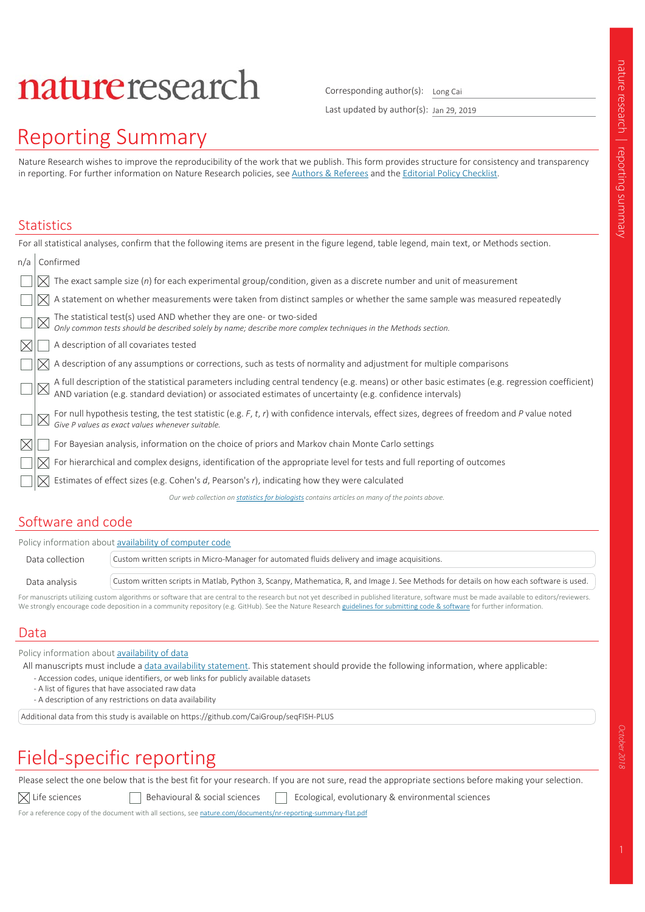# natureresearch

Corresponding author(s): Long Cai

Last updated by author(s): Jan 29, 2019

# Reporting Summary

Nature Research wishes to improve the reproducibility of the work that we publish. This form provides structure for consistency and transparency in reporting. For further information on Nature Research policies, see Authors & Referees and the Editorial Policy Checklist.

#### **Statistics**

|              | For all statistical analyses, confirm that the following items are present in the figure legend, table legend, main text, or Methods section.                                                                                  |
|--------------|--------------------------------------------------------------------------------------------------------------------------------------------------------------------------------------------------------------------------------|
| n/a          | Confirmed                                                                                                                                                                                                                      |
|              | The exact sample size $(n)$ for each experimental group/condition, given as a discrete number and unit of measurement                                                                                                          |
|              | A statement on whether measurements were taken from distinct samples or whether the same sample was measured repeatedly                                                                                                        |
|              | The statistical test(s) used AND whether they are one- or two-sided<br>Only common tests should be described solely by name; describe more complex techniques in the Methods section.                                          |
|              | A description of all covariates tested                                                                                                                                                                                         |
|              | A description of any assumptions or corrections, such as tests of normality and adjustment for multiple comparisons                                                                                                            |
|              | A full description of the statistical parameters including central tendency (e.g. means) or other basic estimates (e.g. regression coefficient) AND variation (e.g. standard deviation) or associated estimates of uncertainty |
|              | For null hypothesis testing, the test statistic (e.g. F, t, r) with confidence intervals, effect sizes, degrees of freedom and P value noted<br>Give P values as exact values whenever suitable.                               |
| $\mathbb{X}$ | For Bayesian analysis, information on the choice of priors and Markov chain Monte Carlo settings                                                                                                                               |
|              | For hierarchical and complex designs, identification of the appropriate level for tests and full reporting of outcomes                                                                                                         |
|              | Estimates of effect sizes (e.g. Cohen's d, Pearson's r), indicating how they were calculated                                                                                                                                   |
|              | Our web collection on statistics for biologists contains articles on many of the points above.                                                                                                                                 |
|              |                                                                                                                                                                                                                                |

## Software and code

| Policy information about availability of computer code |                                                                                                                                        |  |  |
|--------------------------------------------------------|----------------------------------------------------------------------------------------------------------------------------------------|--|--|
| Data collection                                        | Custom written scripts in Micro-Manager for automated fluids delivery and image acquisitions.                                          |  |  |
| Data analysis                                          | Custom written scripts in Matlab, Python 3, Scanpy, Mathematica, R, and Image J. See Methods for details on how each software is used. |  |  |

For manuscripts utilizing custom algorithms or software that are central to the research but not yet described in published literature, software must be made available to editors/reviewers. We strongly encourage code deposition in a community repository (e.g. GitHub). See the Nature Research guidelines for submitting code & software for further information

### Data

Policy information about availability of data

All manuscripts must include a data availability statement. This statement should provide the following information, where applicable: - Accession codes, unique identifiers, or web links for publicly available datasets

- A list of figures that have associated raw data

- A description of any restrictions on data availability

Additional data from this study is available on https://github.com/CaiGroup/seqFISH-PLUS

# Field-specific reporting

Please select the one below that is the best fit for your research. If you are not sure, read the appropriate sections before making your selection.

 $\boxtimes$  Life sciences  $\Box$  Behavioural & social sciences  $\Box$  Ecological, evolutionary & environmental sciences

For a reference copy of the document with all sections, see nature.com/documents/nr-reporting-summary-flat.pdf